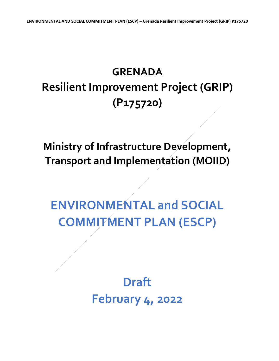## **GRENADA Resilient Improvement Project (GRIP) (P175720)**

**Ministry of Infrastructure Development, Transport and Implementation (MOIID)**

## **ENVIRONMENTAL and SOCIAL COMMITMENT PLAN (ESCP)**

**Draft February 4, 2022**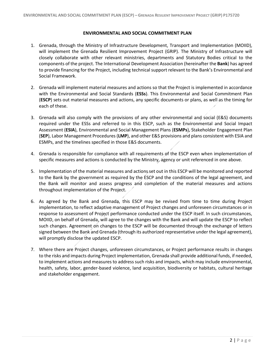## **ENVIRONMENTAL AND SOCIAL COMMITMENT PLAN**

- 1. Grenada, through the Ministry of Infrastructure Development, Transport and Implementation (MOIID), will implement the Grenada Resilient Improvement Project (GRIP). The Ministry of Infrastructure will closely collaborate with other relevant ministries, departments and Statutory Bodies critical to the components of the project. The International Development Association (hereinafter the **Bank**) has agreed to provide financing for the Project, including technical support relevant to the Bank's Environmental and Social Framework.
- 2. Grenada will implement material measures and actions so that the Project is implemented in accordance with the Environmental and Social Standards (**ESSs**). This Environmental and Social Commitment Plan (**ESCP**) sets out material measures and actions, any specific documents or plans, as well as the timing for each of these.
- 3. Grenada will also comply with the provisions of any other environmental and social (E&S) documents required under the ESSs and referred to in this ESCP, such as the Environmental and Social Impact Assessment (**ESIA**), Environmental and Social Management Plans (**ESMPs**), Stakeholder Engagement Plan (**SEP**), Labor Management Procedures (**LMP**), and other E&S provisions and plans consistent with ESIA and ESMPs, and the timelines specified in those E&S documents.
- 4. Grenada is responsible for compliance with all requirements of the ESCP even when implementation of specific measures and actions is conducted by the Ministry, agency or unit referenced in one above.
- 5. Implementation of the material measures and actions set out in this ESCP will be monitored and reported to the Bank by the government as required by the ESCP and the conditions of the legal agreement, and the Bank will monitor and assess progress and completion of the material measures and actions throughout implementation of the Project.
- 6. As agreed by the Bank and Grenada, this ESCP may be revised from time to time during Project implementation, to reflect adaptive management of Project changes and unforeseen circumstances or in response to assessment of Project performance conducted under the ESCP itself. In such circumstances, MOIID, on behalf of Grenada, will agree to the changes with the Bank and will update the ESCP to reflect such changes. Agreement on changes to the ESCP will be documented through the exchange of letters signed between the Bank and Grenada (through its authorized representative under the legal agreement), will promptly disclose the updated ESCP.
- 7. Where there are Project changes, unforeseen circumstances, or Project performance results in changes to the risks and impacts during Project implementation, Grenada shall provide additional funds, if needed, to implement actions and measures to address such risks and impacts, which may include environmental, health, safety, labor, gender-based violence, land acquisition, biodiversity or habitats, cultural heritage and stakeholder engagement.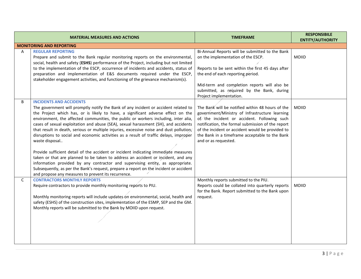|   | <b>MATERIAL MEASURES AND ACTIONS</b>                                                                                                                                                                                                                                                                                                                                                                                                                                                                                                                                                                                                                                                                                                                                                                                                                                                                                                                                                                        | <b>TIMEFRAME</b>                                                                                                                                                                                                                                                                                                                     | <b>RESPONSIBILE</b><br><b>ENTITY/AUTHORITY</b> |
|---|-------------------------------------------------------------------------------------------------------------------------------------------------------------------------------------------------------------------------------------------------------------------------------------------------------------------------------------------------------------------------------------------------------------------------------------------------------------------------------------------------------------------------------------------------------------------------------------------------------------------------------------------------------------------------------------------------------------------------------------------------------------------------------------------------------------------------------------------------------------------------------------------------------------------------------------------------------------------------------------------------------------|--------------------------------------------------------------------------------------------------------------------------------------------------------------------------------------------------------------------------------------------------------------------------------------------------------------------------------------|------------------------------------------------|
|   | <b>MONITORING AND REPORTING</b>                                                                                                                                                                                                                                                                                                                                                                                                                                                                                                                                                                                                                                                                                                                                                                                                                                                                                                                                                                             |                                                                                                                                                                                                                                                                                                                                      |                                                |
| Α | <b>REGULAR REPORTING</b><br>Prepare and submit to the Bank regular monitoring reports on the environmental,<br>social, health and safety (ESHS) performance of the Project, including but not limited<br>to the implementation of the ESCP, occurrence of incidents and accidents, status of<br>preparation and implementation of E&S documents required under the ESCP,<br>stakeholder engagement activities, and functioning of the grievance mechanism(s).                                                                                                                                                                                                                                                                                                                                                                                                                                                                                                                                               | Bi-Annual Reports will be submitted to the Bank<br>on the implementation of the ESCP.<br>Reports to be sent within the first 45 days after<br>the end of each reporting period.<br>Mid-term and completion reports will also be<br>submitted, as required by the Bank, during<br>Project implementation.                             | <b>MOIID</b>                                   |
| B | <b>INCIDENTS AND ACCIDENTS</b><br>The government will promptly notify the Bank of any incident or accident related to<br>the Project which has, or is likely to have, a significant adverse effect on the<br>environment, the affected communities, the public or workers including, inter alia,<br>cases of sexual exploitation and abuse (SEA), sexual harassment (SH), and accidents<br>that result in death, serious or multiple injuries, excessive noise and dust pollution,<br>disruptions to social and economic activities as a result of traffic delays, improper<br>waste disposal<br>Provide sufficient detail of the accident or incident indicating immediate measures<br>taken or that are planned to be taken to address an accident or incident, and any<br>information provided by any contractor and supervising entity, as appropriate.<br>Subsequently, as per the Bank's request, prepare a report on the incident or accident<br>and propose any measures to prevent its recurrence. | The Bank will be notified within 48 hours of the<br>government/Ministry of Infrastructure learning<br>of the incident or accident. Following such<br>notification, the formal submission of the report<br>of the incident or accident would be provided to<br>the Bank in a timeframe acceptable to the Bank<br>and or as requested. | <b>MOIID</b>                                   |
| C | <b>CONTRACTORS MONTHLY REPORTS</b><br>Require contractors to provide monthly monitoring reports to PIU.<br>Monthly monitoring reports will include updates on environmental, social, health and<br>safety (ESHS) of the construction sites, implementation of the ESMP, SEP and the GM.<br>Monthly reports will be submitted to the Bank by MOIID upon request.                                                                                                                                                                                                                                                                                                                                                                                                                                                                                                                                                                                                                                             | Monthly reports submitted to the PIU.<br>Reports could be collated into quarterly reports<br>for the Bank. Report submitted to the Bank upon<br>request.                                                                                                                                                                             | <b>MOIID</b>                                   |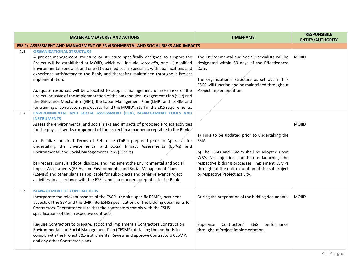|     | <b>MATERIAL MEASURES AND ACTIONS</b>                                                                                                                                                                                                                                                                                                                                                                                                                                                                                                                                                                                                                                                                                                                                                                                            | <b>TIMEFRAME</b>                                                                                                                                                                                                                                                                                    | <b>RESPONSIBILE</b><br><b>ENTITY/AUTHORITY</b> |
|-----|---------------------------------------------------------------------------------------------------------------------------------------------------------------------------------------------------------------------------------------------------------------------------------------------------------------------------------------------------------------------------------------------------------------------------------------------------------------------------------------------------------------------------------------------------------------------------------------------------------------------------------------------------------------------------------------------------------------------------------------------------------------------------------------------------------------------------------|-----------------------------------------------------------------------------------------------------------------------------------------------------------------------------------------------------------------------------------------------------------------------------------------------------|------------------------------------------------|
|     | ESS 1: ASSESSMENT AND MANAGEMENT OF ENVIRONMENTAL AND SOCIAL RISKS AND IMPACTS                                                                                                                                                                                                                                                                                                                                                                                                                                                                                                                                                                                                                                                                                                                                                  |                                                                                                                                                                                                                                                                                                     |                                                |
| 1.1 | <b>ORGANIZATIONAL STRUCTURE</b><br>A project management structure or structure specifically designed to support the<br>Project will be established at MOIID, which will include, inter alia, one (1) qualified<br>Environmental Specialist and one (1) qualified social specialist, with qualifications and<br>experience satisfactory to the Bank, and thereafter maintained throughout Project<br>implementation.<br>Adequate resources will be allocated to support management of ESHS risks of the<br>Project inclusive of the implementation of the Stakeholder Engagement Plan (SEP) and<br>the Grievance Mechanism (GM), the Labor Management Plan (LMP) and its GM and<br>for training of contractors, project staff and the MOIID's staff in the E&S requirements.                                                     | The Environmental and Social Specialists will be<br>designated within 60 days of the Effectiveness<br>Date.<br>The organizational structure as set out in this<br>ESCP will function and be maintained throughout<br>Project implementation.                                                        | <b>MOIID</b>                                   |
| 1.2 | ENVIRONMENTAL AND SOCIAL ASSESSMENT (ESA), MANAGEMENT TOOLS AND<br><b>INSTRUMENTS</b><br>Assess the environmental and social risks and impacts of proposed Project activities<br>for the physical works component of the project in a manner acceptable to the Bank.<br>a) Finalize the draft Terms of Reference (ToRs) prepared prior to Appraisal for<br>undertaking the Environmental and Social Impact Assessments (ESIAs) and<br>Environmental and Social Management Plans (ESMPs)<br>b) Prepare, consult, adopt, disclose, and implement the Environmental and Social<br>Impact Assessments (ESIAs) and Environmental and Social Management Plans<br>(ESMPs) and other plans as applicable for subprojects and other relevant Project<br>activities, in accordance with the ESS's and in a manner acceptable to the Bank. | a) ToRs to be updated prior to undertaking the<br><b>ESIA</b><br>b) The ESIAs and ESMPs shall be adopted upon<br>WB's No objection and before launching the<br>respective bidding processes. Implement ESMPs<br>throughout the entire duration of the subproject<br>or respective Project activity. | <b>MOIID</b>                                   |
| 1.3 | <b>MANAGEMENT OF CONTRACTORS</b><br>Incorporate the relevant aspects of the ESCP, the site-specific ESMPs, pertinent<br>aspects of the SEP and the LMP into ESHS specifications of the bidding documents for<br>Contractors. Thereafter ensure that the contractors comply with the ESHS<br>specifications of their respective contracts.<br>Require Contractors to prepare, adopt and implement a Contractors Construction<br>Environmental and Social Management Plan (CESMP), detailing the methods to<br>comply with the Project E&S instruments. Review and approve Contractors CESMP,<br>and any other Contractor plans.                                                                                                                                                                                                  | During the preparation of the bidding documents.<br>Supervise<br>Contractors'<br>E&S<br>performance<br>throughout Project implementation.                                                                                                                                                           | <b>MOIID</b>                                   |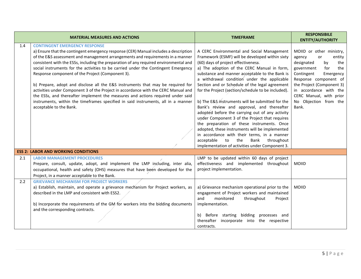|     | <b>MATERIAL MEASURES AND ACTIONS</b>                                                                                                                                                                                                                                                                                                                                                                                                                                                                                                                                                                                                                                                                                                                                                                                          | <b>TIMEFRAME</b>                                                                                                                                                                                                                                                                                                                                                                                                                                                                                                                                                                                                                                                                                                                                                                                                                                       | <b>RESPONSIBILE</b><br><b>ENTITY/AUTHORITY</b>                                                                                                                                                                                                                                    |
|-----|-------------------------------------------------------------------------------------------------------------------------------------------------------------------------------------------------------------------------------------------------------------------------------------------------------------------------------------------------------------------------------------------------------------------------------------------------------------------------------------------------------------------------------------------------------------------------------------------------------------------------------------------------------------------------------------------------------------------------------------------------------------------------------------------------------------------------------|--------------------------------------------------------------------------------------------------------------------------------------------------------------------------------------------------------------------------------------------------------------------------------------------------------------------------------------------------------------------------------------------------------------------------------------------------------------------------------------------------------------------------------------------------------------------------------------------------------------------------------------------------------------------------------------------------------------------------------------------------------------------------------------------------------------------------------------------------------|-----------------------------------------------------------------------------------------------------------------------------------------------------------------------------------------------------------------------------------------------------------------------------------|
| 1.4 | <b>CONTINGENT EMERGENCY RESPONSE</b><br>a) Ensure that the contingent emergency response (CER) Manual includes a description<br>of the E&S assessment and management arrangements and requirements in a manner<br>consistent with the ESSs, including the preparation of any required environmental and<br>social instruments for the activities to be carried under the Contingent Emergency<br>Response component of the Project (Component 3).<br>b) Prepare, adopt and disclose all the E&S instruments that may be required for<br>activities under Component 3 of the Project in accordance with the CERC Manual and<br>the ESSs, and thereafter implement the measures and actions required under said<br>instruments, within the timeframes specified in said instruments, all in a manner<br>acceptable to the Bank. | A CERC Environmental and Social Management<br>Framework (ESMF) will be developed within sixty<br>(60) days of project effectiveness.<br>a) The adoption of the CERC Manual in form,<br>substance and manner acceptable to the Bank is<br>a withdrawal condition under the applicable<br>Section and or Schedule of the legal agreement<br>for the Project (section/schedule to be included).<br>b) The E&S instruments will be submitted for the<br>Bank's review and approval, and thereafter<br>adopted before the carrying out of any activity<br>under Component 3 of the Project that requires<br>the preparation of these instruments. Once<br>adopted, these instruments will be implemented<br>in accordance with their terms, in a manner<br>acceptable<br>the<br>throughout<br>to<br>Bank<br>implementation of activities under Component 3. | MOIID or other ministry,<br>agency<br>or<br>entity<br>designated<br>by<br>the<br>government<br>for<br>the<br>Contingent<br>Emergency<br>Response component of<br>the Project (Component 3)<br>in accordance with the<br>CERC Manual, with prior<br>No Objection from the<br>Bank. |
|     | <b>ESS 2: LABOR AND WORKING CONDITIONS</b>                                                                                                                                                                                                                                                                                                                                                                                                                                                                                                                                                                                                                                                                                                                                                                                    |                                                                                                                                                                                                                                                                                                                                                                                                                                                                                                                                                                                                                                                                                                                                                                                                                                                        |                                                                                                                                                                                                                                                                                   |
| 2.1 | <b>LABOR MANAGEMENT PROCEDURES</b><br>Prepare, consult, update, adopt, and implement the LMP including, inter alia,<br>occupational, health and safety (OHS) measures that have been developed for the<br>Project, in a manner acceptable to the Bank.                                                                                                                                                                                                                                                                                                                                                                                                                                                                                                                                                                        | LMP to be updated within 60 days of project<br>effectiveness and implemented throughout<br>project implementation.                                                                                                                                                                                                                                                                                                                                                                                                                                                                                                                                                                                                                                                                                                                                     | <b>MOIID</b>                                                                                                                                                                                                                                                                      |
| 2.2 | <b>GRIEVANCE MECHANISM FOR PROJECT WORKERS</b><br>a) Establish, maintain, and operate a grievance mechanism for Project workers, as<br>described in the LMP and consistent with ESS2.<br>b) Incorporate the requirements of the GM for workers into the bidding documents<br>and the corresponding contracts.                                                                                                                                                                                                                                                                                                                                                                                                                                                                                                                 | a) Grievance mechanism operational prior to the<br>engagement of Project workers and maintained<br>monitored<br>throughout<br>and<br>Project<br>implementation.<br>Before starting bidding processes and<br>b)<br>thereafter<br>incorporate into the respective<br>contracts.                                                                                                                                                                                                                                                                                                                                                                                                                                                                                                                                                                          | <b>MOIID</b>                                                                                                                                                                                                                                                                      |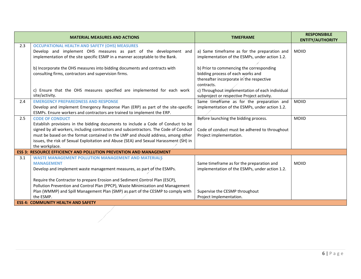|     | <b>MATERIAL MEASURES AND ACTIONS</b>                                                                                                                                                                                                                                                                                                                                                              | <b>TIMEFRAME</b>                                                                                                                        | <b>RESPONSIBILE</b><br><b>ENTITY/AUTHORITY</b> |
|-----|---------------------------------------------------------------------------------------------------------------------------------------------------------------------------------------------------------------------------------------------------------------------------------------------------------------------------------------------------------------------------------------------------|-----------------------------------------------------------------------------------------------------------------------------------------|------------------------------------------------|
| 2.3 | <b>OCCUPATIONAL HEALTH AND SAFETY (OHS) MEASURES</b><br>Develop and implement OHS measures as part of the development and<br>implementation of the site specific ESMP in a manner acceptable to the Bank.                                                                                                                                                                                         | a) Same timeframe as for the preparation and<br>implementation of the ESMPs, under action 1.2.                                          | <b>MOIID</b>                                   |
|     | b) Incorporate the OHS measures into bidding documents and contracts with<br>consulting firms, contractors and supervision firms.                                                                                                                                                                                                                                                                 | b) Prior to commencing the corresponding<br>bidding process of each works and<br>thereafter incorporate in the respective<br>contracts. |                                                |
|     | c) Ensure that the OHS measures specified are implemented for each work<br>site/activity.                                                                                                                                                                                                                                                                                                         | c) Throughout implementation of each individual<br>subproject or respective Project activity.                                           |                                                |
| 2.4 | <b>EMERGENCY PREPAREDNESS AND RESPONSE</b><br>Develop and implement Emergency Response Plan (ERP) as part of the site-specific<br>ESMPs. Ensure workers and contractors are trained to implement the ERP.                                                                                                                                                                                         | Same timeframe as for the preparation and<br>implementation of the ESMPs, under action 1.2.                                             | <b>MOIID</b>                                   |
| 2.5 | <b>CODE OF CONDUCT</b><br>Establish provisions in the bidding documents to include a Code of Conduct to be<br>signed by all workers, including contractors and subcontractors. The Code of Conduct<br>must be based on the format contained in the LMP and should address, among other<br>issues, the risk of Sexual Exploitation and Abuse (SEA) and Sexual Harassment (SH) in<br>the workplace. | Before launching the bidding process.<br>Code of conduct must be adhered to throughout<br>Project implementation.                       | <b>MOIID</b>                                   |
|     | <b>ESS 3: RESOURCE EFFICIENCY AND POLLUTION PREVENTION AND MANAGEMENT</b>                                                                                                                                                                                                                                                                                                                         |                                                                                                                                         |                                                |
| 3.1 | <b>WASTE MANAGEMENT POLLUTION MANAGEMENT AND MATERIALS</b><br><b>MANAGEMENT</b><br>Develop and implement waste management measures, as part of the ESMPs.                                                                                                                                                                                                                                         | Same timeframe as for the preparation and<br>implementation of the ESMPs, under action 1.2.                                             | <b>MOIID</b>                                   |
|     | Require the Contractor to prepare Erosion and Sediment Control Plan (ESCP),<br>Pollution Prevention and Control Plan (PPCP), Waste Minimization and Management<br>Plan (WMMP) and Spill Management Plan (SMP) as part of the CESMP to comply with<br>the ESMP.                                                                                                                                    | Supervise the CESMP throughout<br>Project Implementation.                                                                               |                                                |
|     | <b>ESS 4: COMMUNITY HEALTH AND SAFETY</b>                                                                                                                                                                                                                                                                                                                                                         |                                                                                                                                         |                                                |

 $\overline{\phantom{a}}$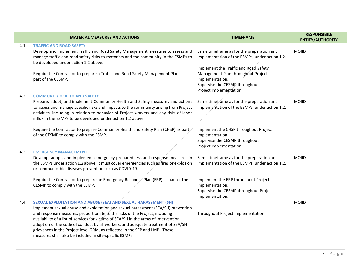|     | <b>MATERIAL MEASURES AND ACTIONS</b>                                                                                                                                                                                                                                                                                                                                                                                                                                                                                                                       | <b>TIMEFRAME</b>                                                                                                                                                                                                                                           | <b>RESPONSIBILE</b><br><b>ENTITY/AUTHORITY</b> |
|-----|------------------------------------------------------------------------------------------------------------------------------------------------------------------------------------------------------------------------------------------------------------------------------------------------------------------------------------------------------------------------------------------------------------------------------------------------------------------------------------------------------------------------------------------------------------|------------------------------------------------------------------------------------------------------------------------------------------------------------------------------------------------------------------------------------------------------------|------------------------------------------------|
| 4.1 | <b>TRAFFIC AND ROAD SAFETY</b><br>Develop and implement Traffic and Road Safety Management measures to assess and<br>manage traffic and road safety risks to motorists and the community in the ESMPs to<br>be developed under action 1.2 above.<br>Require the Contractor to prepare a Traffic and Road Safety Management Plan as<br>part of the CESMP.                                                                                                                                                                                                   | Same timeframe as for the preparation and<br>implementation of the ESMPs, under action 1.2.<br>Implement the Traffic and Road Safety<br>Management Plan throughout Project<br>Implementation.<br>Supervise the CESMP throughout<br>Project Implementation. | <b>MOIID</b>                                   |
| 4.2 | <b>COMMUNITY HEALTH AND SAFETY</b><br>Prepare, adopt, and implement Community Health and Safety measures and actions<br>to assess and manage specific risks and impacts to the community arising from Project<br>activities, including in relation to behavior of Project workers and any risks of labor<br>influx in the ESMPs to be developed under action 1.2 above.<br>Require the Contractor to prepare Community Health and Safety Plan (CHSP) as part<br>of the CESMP to comply with the ESMP.                                                      | Same timeframe as for the preparation and<br>implementation of the ESMPs, under action 1.2.<br>Implement the CHSP throughout Project<br>Implementation.<br>Supervise the CESMP throughout<br>Project Implementation.                                       | <b>MOIID</b>                                   |
| 4.3 | <b>EMERGENCY MANAGEMENT</b><br>Develop, adopt, and implement emergency preparedness and response measures in<br>the ESMPs under action 1.2 above. It must cover emergencies such as fires or explosion<br>or communicable diseases prevention such as COVID-19.<br>Require the Contractor to prepare an Emergency Response Plan (ERP) as part of the<br>CESMP to comply with the ESMP.                                                                                                                                                                     | Same timeframe as for the preparation and<br>implementation of the ESMPs, under action 1.2.<br>Implement the ERP throughout Project<br>Implementation.<br>Supervise the CESMP throughout Project<br>Implementation.                                        | <b>MOIID</b>                                   |
| 4.4 | SEXUAL EXPLOITATION AND ABUSE (SEA) AND SEXUAL HARASSMENT (SH)<br>Implement sexual abuse and exploitation and sexual harassment (SEA/SH) prevention<br>and response measures, proportionate to the risks of the Project, including<br>availability of a list of services for victims of SEA/SH in the areas of intervention,<br>adoption of the code of conduct by all workers, and adequate treatment of SEA/SH<br>grievances in the Project level GRM, as reflected in the SEP and LMP. These<br>measures shall also be included in site-specific ESMPs. | Throughout Project implementation                                                                                                                                                                                                                          | <b>MOIID</b>                                   |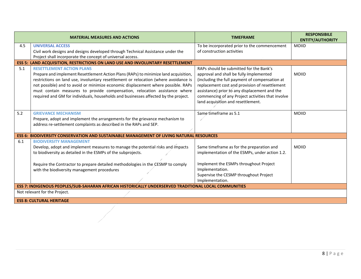|                                                                                                      | <b>MATERIAL MEASURES AND ACTIONS</b>                                                                                                               | <b>TIMEFRAME</b>                                  | <b>RESPONSIBILE</b><br><b>ENTITY/AUTHORITY</b> |  |
|------------------------------------------------------------------------------------------------------|----------------------------------------------------------------------------------------------------------------------------------------------------|---------------------------------------------------|------------------------------------------------|--|
| 4.5                                                                                                  | <b>UNIVERSAL ACCESS</b>                                                                                                                            | To be incorporated prior to the commencement      | <b>MOIID</b>                                   |  |
|                                                                                                      | Civil work designs and designs developed through Technical Assistance under the<br>Project shall incorporate the concept of universal access.      | of construction activities                        |                                                |  |
|                                                                                                      | <b>ESS 5: LAND ACQUISITION, RESTRICTIONS ON LAND USE AND INVOLUNTARY RESETTLEMENT</b>                                                              |                                                   |                                                |  |
| 5.1                                                                                                  | <b>RESETTLEMENT ACTION PLANS</b>                                                                                                                   | RAPs should be submitted for the Bank's           |                                                |  |
|                                                                                                      | Prepare and implement Resettlement Action Plans (RAPs) to minimize land acquisition,                                                               | approval and shall be fully implemented           | <b>MOIID</b>                                   |  |
|                                                                                                      | restrictions on land use, involuntary resettlement or relocation (where avoidance is                                                               | (including the full payment of compensation at    |                                                |  |
|                                                                                                      | not possible) and to avoid or minimize economic displacement where possible. RAPs                                                                  | replacement cost and provision of resettlement    |                                                |  |
|                                                                                                      | must contain measures to provide compensation, relocation assistance where                                                                         | assistance) prior to any displacement and the     |                                                |  |
|                                                                                                      | required and GM for individuals, households and businesses affected by the project.                                                                | commencing of any Project activities that involve |                                                |  |
|                                                                                                      |                                                                                                                                                    | land acquisition and resettlement.                |                                                |  |
|                                                                                                      |                                                                                                                                                    |                                                   |                                                |  |
| 5.2                                                                                                  | <b>GRIEVANCE MECHANISM</b>                                                                                                                         | Same time frame as 5.1                            | <b>MOIID</b>                                   |  |
|                                                                                                      | Prepare, adopt and implement the arrangements for the grievance mechanism to<br>address re-settlement complaints as described in the RAPs and SEP. |                                                   |                                                |  |
|                                                                                                      |                                                                                                                                                    |                                                   |                                                |  |
|                                                                                                      | <b>ESS 6: BIODIVERSITY CONSERVATION AND SUSTAINABLE MANAGEMENT OF LIVING NATURAL RESOURCES</b>                                                     |                                                   |                                                |  |
| 6.1                                                                                                  | <b>BIODIVERSITY MANAGEMENT</b>                                                                                                                     |                                                   |                                                |  |
|                                                                                                      | Develop, adopt and implement measures to manage the potential risks and impacts                                                                    | Same timeframe as for the preparation and         | <b>MOIID</b>                                   |  |
|                                                                                                      | to biodiversity as detailed in the ESMPs of the subprojects.                                                                                       | implementation of the ESMPs, under action 1.2.    |                                                |  |
|                                                                                                      |                                                                                                                                                    |                                                   |                                                |  |
|                                                                                                      | Require the Contractor to prepare detailed methodologies in the CESMP to comply                                                                    | Implement the ESMPs throughout Project            |                                                |  |
|                                                                                                      | with the biodiversity management procedures                                                                                                        | Implementation.                                   |                                                |  |
|                                                                                                      |                                                                                                                                                    | Supervise the CESMP throughout Project            |                                                |  |
|                                                                                                      |                                                                                                                                                    | Implementation.                                   |                                                |  |
| ESS 7: INDIGENOUS PEOPLES/SUB-SAHARAN AFRICAN HISTORICALLY UNDERSERVED TRADITIONAL LOCAL COMMUNITIES |                                                                                                                                                    |                                                   |                                                |  |
| Not relevant for the Project.                                                                        |                                                                                                                                                    |                                                   |                                                |  |
|                                                                                                      | <b>ESS 8: CULTURAL HERITAGE</b>                                                                                                                    |                                                   |                                                |  |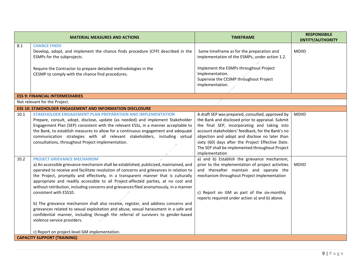|      | <b>MATERIAL MEASURES AND ACTIONS</b>                                                                                                                                                                                                                                                                                                                                                                                                                                                                                                                                                                                                                                                                                                                                                                                                                                   | <b>TIMEFRAME</b>                                                                                                                                                                                                                                                                                                                                                                       | <b>RESPONSIBILE</b><br><b>ENTITY/AUTHORITY</b> |
|------|------------------------------------------------------------------------------------------------------------------------------------------------------------------------------------------------------------------------------------------------------------------------------------------------------------------------------------------------------------------------------------------------------------------------------------------------------------------------------------------------------------------------------------------------------------------------------------------------------------------------------------------------------------------------------------------------------------------------------------------------------------------------------------------------------------------------------------------------------------------------|----------------------------------------------------------------------------------------------------------------------------------------------------------------------------------------------------------------------------------------------------------------------------------------------------------------------------------------------------------------------------------------|------------------------------------------------|
| 8.1  | <b>CHANCE FINDS</b><br>Develop, adopt, and implement the chance finds procedure (CFP) described in the<br>ESMPs for the subprojects.<br>Require the Contractor to prepare detailed methodologies in the<br>CESMP to comply with the chance find procedures.                                                                                                                                                                                                                                                                                                                                                                                                                                                                                                                                                                                                            | Same timeframe as for the preparation and<br>implementation of the ESMPs, under action 1.2.<br>Implement the ESMPs throughout Project<br>Implementation.<br>Supervise the CESMP throughout Project<br>Implementation.                                                                                                                                                                  | <b>MOIID</b>                                   |
|      | <b>ESS 9: FINANCIAL INTERMEDIARIES</b>                                                                                                                                                                                                                                                                                                                                                                                                                                                                                                                                                                                                                                                                                                                                                                                                                                 |                                                                                                                                                                                                                                                                                                                                                                                        |                                                |
|      | Not relevant for the Project.                                                                                                                                                                                                                                                                                                                                                                                                                                                                                                                                                                                                                                                                                                                                                                                                                                          |                                                                                                                                                                                                                                                                                                                                                                                        |                                                |
| 10.1 | <b>ESS 10: STAKEHOLDER ENGAGEMENT AND INFORMATION DISCLOSURE</b><br>STAKEHOLDER ENGAGEMENT PLAN PREPARATION AND IMPLEMENTATION<br>Prepare, consult, adopt, disclose, update (as needed) and implement Stakeholder<br>Engagement Plan (SEP) consistent with the relevant ESSs, in a manner acceptable to<br>the Bank, to establish measures to allow for a continuous engagement and adequate<br>communication strategies with all relevant stakeholders, including virtual<br>consultations, throughout Project implementation.                                                                                                                                                                                                                                                                                                                                        | A draft SEP was prepared, consulted, approved by<br>the Bank and disclosed prior to appraisal. Submit<br>the final SEP, incorporating and taking into<br>account stakeholders' feedback, for the Bank's no<br>objection and adopt and disclose no later than<br>sixty (60) days after the Project Effective Date.<br>The SEP shall be implemented throughout Project<br>implementation | <b>MOIID</b>                                   |
| 10.2 | <b>PROJECT GRIEVANCE MECHANISM</b><br>a) An accessible grievance mechanism shall be established, publicized, maintained, and<br>operated to receive and facilitate resolution of concerns and grievances in relation to<br>the Project, promptly and effectively, in a transparent manner that is culturally<br>appropriate and readily accessible to all Project-affected parties, at no cost and<br>without retribution, including concerns and grievances filed anonymously, in a manner<br>consistent with ESS10.<br>b) The grievance mechanism shall also receive, register, and address concerns and<br>grievances related to sexual exploitation and abuse, sexual harassment in a safe and<br>confidential manner, including through the referral of survivors to gender-based<br>violence service providers.<br>c) Report on project-level GM implementation. | a) and b) Establish the grievance mechanism,<br>prior to the implementation of project activities<br>and thereafter maintain and operate the<br>mechanism throughout Project implementation<br>c) Report on GM as part of the six-monthly<br>reports required under action a) and b) above.                                                                                            | <b>MOIID</b>                                   |
|      | <b>CAPACITY SUPPORT (TRAINING)</b>                                                                                                                                                                                                                                                                                                                                                                                                                                                                                                                                                                                                                                                                                                                                                                                                                                     |                                                                                                                                                                                                                                                                                                                                                                                        |                                                |
|      |                                                                                                                                                                                                                                                                                                                                                                                                                                                                                                                                                                                                                                                                                                                                                                                                                                                                        |                                                                                                                                                                                                                                                                                                                                                                                        |                                                |